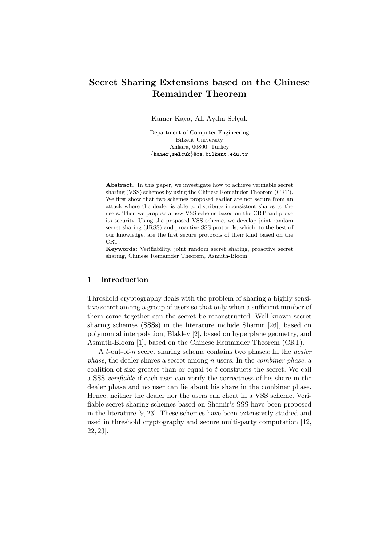# Secret Sharing Extensions based on the Chinese Remainder Theorem

Kamer Kaya, Ali Aydın Selçuk

Department of Computer Engineering Bilkent University Ankara, 06800, Turkey {kamer,selcuk}@cs.bilkent.edu.tr

Abstract. In this paper, we investigate how to achieve verifiable secret sharing (VSS) schemes by using the Chinese Remainder Theorem (CRT). We first show that two schemes proposed earlier are not secure from an attack where the dealer is able to distribute inconsistent shares to the users. Then we propose a new VSS scheme based on the CRT and prove its security. Using the proposed VSS scheme, we develop joint random secret sharing (JRSS) and proactive SSS protocols, which, to the best of our knowledge, are the first secure protocols of their kind based on the CRT.

Keywords: Verifiability, joint random secret sharing, proactive secret sharing, Chinese Remainder Theorem, Asmuth-Bloom

# 1 Introduction

Threshold cryptography deals with the problem of sharing a highly sensitive secret among a group of users so that only when a sufficient number of them come together can the secret be reconstructed. Well-known secret sharing schemes (SSSs) in the literature include Shamir [26], based on polynomial interpolation, Blakley [2], based on hyperplane geometry, and Asmuth-Bloom [1], based on the Chinese Remainder Theorem (CRT).

A t-out-of-n secret sharing scheme contains two phases: In the *dealer phase*, the dealer shares a secret among  $n$  users. In the *combiner phase*, a coalition of size greater than or equal to t constructs the secret. We call a SSS verifiable if each user can verify the correctness of his share in the dealer phase and no user can lie about his share in the combiner phase. Hence, neither the dealer nor the users can cheat in a VSS scheme. Verifiable secret sharing schemes based on Shamir's SSS have been proposed in the literature [9, 23]. These schemes have been extensively studied and used in threshold cryptography and secure multi-party computation [12, 22, 23].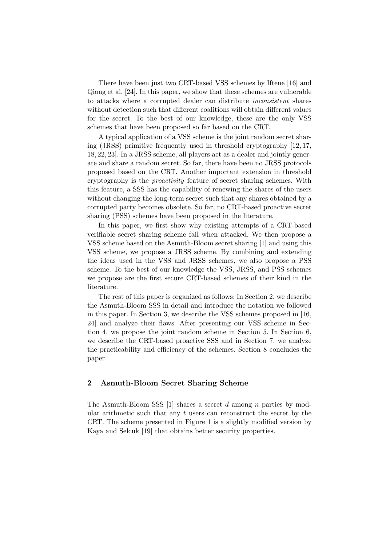There have been just two CRT-based VSS schemes by Iftene [16] and Qiong et al. [24]. In this paper, we show that these schemes are vulnerable to attacks where a corrupted dealer can distribute inconsistent shares without detection such that different coalitions will obtain different values for the secret. To the best of our knowledge, these are the only VSS schemes that have been proposed so far based on the CRT.

A typical application of a VSS scheme is the joint random secret sharing (JRSS) primitive frequently used in threshold cryptography [12, 17, 18, 22, 23]. In a JRSS scheme, all players act as a dealer and jointly generate and share a random secret. So far, there have been no JRSS protocols proposed based on the CRT. Another important extension in threshold cryptography is the proactivity feature of secret sharing schemes. With this feature, a SSS has the capability of renewing the shares of the users without changing the long-term secret such that any shares obtained by a corrupted party becomes obsolete. So far, no CRT-based proactive secret sharing (PSS) schemes have been proposed in the literature.

In this paper, we first show why existing attempts of a CRT-based verifiable secret sharing scheme fail when attacked. We then propose a VSS scheme based on the Asmuth-Bloom secret sharing [1] and using this VSS scheme, we propose a JRSS scheme. By combining and extending the ideas used in the VSS and JRSS schemes, we also propose a PSS scheme. To the best of our knowledge the VSS, JRSS, and PSS schemes we propose are the first secure CRT-based schemes of their kind in the literature.

The rest of this paper is organized as follows: In Section 2, we describe the Asmuth-Bloom SSS in detail and introduce the notation we followed in this paper. In Section 3, we describe the VSS schemes proposed in [16, 24] and analyze their flaws. After presenting our VSS scheme in Section 4, we propose the joint random scheme in Section 5. In Section 6, we describe the CRT-based proactive SSS and in Section 7, we analyze the practicability and efficiency of the schemes. Section 8 concludes the paper.

# 2 Asmuth-Bloom Secret Sharing Scheme

The Asmuth-Bloom SSS  $[1]$  shares a secret d among n parties by modular arithmetic such that any  $t$  users can reconstruct the secret by the CRT. The scheme presented in Figure 1 is a slightly modified version by Kaya and Selcuk [19] that obtains better security properties.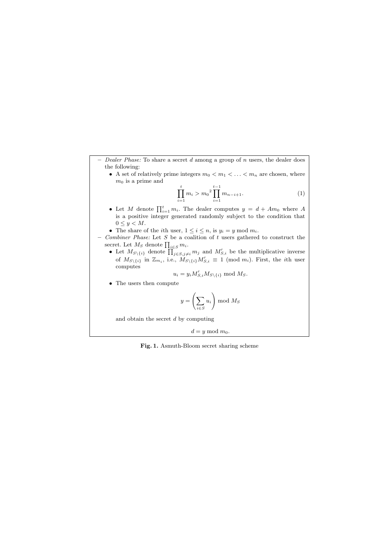- $-$  Dealer Phase: To share a secret d among a group of n users, the dealer does the following:
	- A set of relatively prime integers  $m_0 < m_1 < \ldots < m_n$  are chosen, where  $m_0$  is a prime and

$$
\prod_{i=1}^{t} m_i > m_0^2 \prod_{i=1}^{t-1} m_{n-i+1}.
$$
 (1)

- Let M denote  $\prod_{i=1}^t m_i$ . The dealer computes  $y = d + Am_0$  where A is a positive integer generated randomly subject to the condition that  $0 \leq y < M$ .
- The share of the *i*th user,  $1 \leq i \leq n$ , is  $y_i = y \mod m_i$ .
- *Combiner Phase:* Let  $S$  be a coalition of  $t$  users gathered to construct the secret. Let  $M_S$  denote  $\prod_{i \in S} m_i$ .
	- Let  $M_{S\setminus\{i\}}$  denote  $\prod_{j\in S,j\neq i}^{\infty} m_j$  and  $M'_{S,i}$  be the multiplicative inverse of  $M_{S\setminus\{i\}}$  in  $\mathbb{Z}_{m_i}$ , i.e.,  $\widetilde{M}_{S\setminus\{i\}}M'_{S,i} \equiv 1 \pmod{m_i}$ . First, the *i*th user computes

$$
u_i = y_i M'_{S,i} M_{S \setminus \{i\}} \bmod M_S.
$$

• The users then compute

$$
y = \left(\sum_{i \in S} u_i\right) \bmod M_S
$$

and obtain the secret  $d$  by computing

 $d = y \mod m_0.$ 

Fig. 1. Asmuth-Bloom secret sharing scheme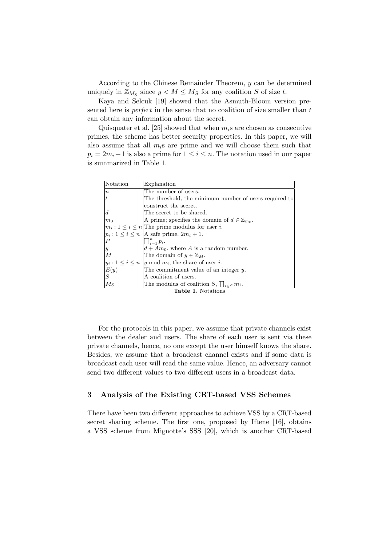According to the Chinese Remainder Theorem, y can be determined uniquely in  $\mathbb{Z}_{M_S}$  since  $y < M \leq M_S$  for any coalition S of size t.

Kaya and Selcuk [19] showed that the Asmuth-Bloom version presented here is *perfect* in the sense that no coalition of size smaller than  $t$ can obtain any information about the secret.

Quisquater et al. [25] showed that when  $m_i$ s are chosen as consecutive primes, the scheme has better security properties. In this paper, we will also assume that all  $m_i$ s are prime and we will choose them such that  $p_i = 2m_i + 1$  is also a prime for  $1 \leq i \leq n$ . The notation used in our paper is summarized in Table 1.

| Notation                                 | Explanation                                                 |  |  |  |  |  |  |
|------------------------------------------|-------------------------------------------------------------|--|--|--|--|--|--|
| $\it n$                                  | The number of users.                                        |  |  |  |  |  |  |
| t                                        | The threshold, the minimum number of users required to      |  |  |  |  |  |  |
|                                          | construct the secret.                                       |  |  |  |  |  |  |
| $\boldsymbol{d}$                         | The secret to be shared.                                    |  |  |  |  |  |  |
| $m_0$                                    | A prime; specifies the domain of $d \in \mathbb{Z}_{m_0}$ . |  |  |  |  |  |  |
|                                          | $ m_i: 1 \leq i \leq n $ The prime modulus for user i.      |  |  |  |  |  |  |
|                                          | $ p_i: 1 \leq i \leq n$   A safe prime, $2m_i + 1$ .        |  |  |  |  |  |  |
| $\boldsymbol{P}$                         | $\prod_{i=1}^n p_i$ .                                       |  |  |  |  |  |  |
| $\boldsymbol{y}$                         | $d + Am_0$ , where A is a random number.                    |  |  |  |  |  |  |
| $\overline{M}$                           | The domain of $y \in \mathbb{Z}_M$ .                        |  |  |  |  |  |  |
|                                          | $ y_i: 1 \leq i \leq n$  y mod $m_i$ , the share of user i. |  |  |  |  |  |  |
| $\begin{vmatrix} E(y) \ S \end{vmatrix}$ | The commitment value of an integer $y$ .                    |  |  |  |  |  |  |
|                                          | A coalition of users.                                       |  |  |  |  |  |  |
| $M_S$                                    | The modulus of coalition S, $\prod_{i \in S} m_i$ .         |  |  |  |  |  |  |
| <b>Table 1.</b> Notations                |                                                             |  |  |  |  |  |  |

For the protocols in this paper, we assume that private channels exist between the dealer and users. The share of each user is sent via these private channels, hence, no one except the user himself knows the share. Besides, we assume that a broadcast channel exists and if some data is broadcast each user will read the same value. Hence, an adversary cannot send two different values to two different users in a broadcast data.

# 3 Analysis of the Existing CRT-based VSS Schemes

There have been two different approaches to achieve VSS by a CRT-based secret sharing scheme. The first one, proposed by Iftene [16], obtains a VSS scheme from Mignotte's SSS [20], which is another CRT-based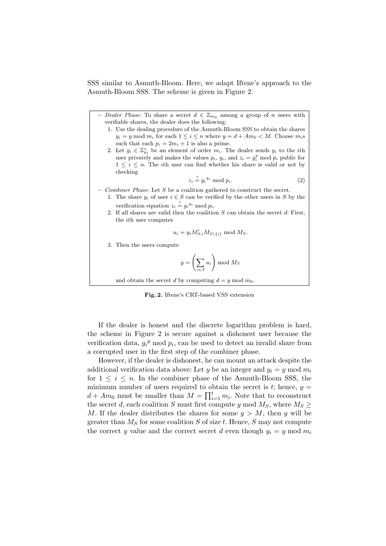SSS similar to Asmuth-Bloom. Here, we adapt Iftene's approach to the Asmuth-Bloom SSS. The scheme is given in Figure 2.

- Dealer Phase: To share a secret  $d \in \mathbb{Z}_{m_0}$  among a group of n users with verifiable shares, the dealer does the following:
	- 1. Use the dealing procedure of the Asmuth-Bloom SSS to obtain the shares  $y_i = y \mod m_i$  for each  $1 \leq i \leq n$  where  $y = d + Am_0 < M$ . Choose  $m_i$ s such that each  $p_i = 2m_i + 1$  is also a prime.
	- 2. Let  $g_i \in \mathbb{Z}_{p_i}^*$  be an element of order  $m_i$ . The dealer sends  $y_i$  to the *i*th user privately and makes the values  $p_i$ ,  $g_i$ , and  $z_i = g_i^y \mod p_i$  public for  $1 \leq i \leq n$ . The *i*th user can find whether his share is valid or not by checking

$$
z_i \stackrel{?}{=} g_i^{y_i} \bmod p_i. \tag{2}
$$

- Combiner Phase: Let  $S$  be a coalition gathered to construct the secret.
	- 1. The share  $y_i$  of user  $i \in S$  can be verified by the other users in S by the verification equation  $z_i \stackrel{?}{=} g_i^{y_i} \text{ mod } p_i$ .
	- 2. If all shares are valid then the coalition  $S$  can obtain the secret  $d$ : First, the ith user computes

$$
u_i = y_i M'_{S,i} M_{S \setminus \{i\}} \bmod M_S.
$$

3. Then the users compute

$$
y = \left(\sum_{i \in S} u_i\right) \bmod M_S
$$

and obtain the secret d by computing  $d = y \mod m_0$ .

Fig. 2. Iftene's CRT-based VSS extension

If the dealer is honest and the discrete logarithm problem is hard, the scheme in Figure 2 is secure against a dishonest user because the verification data,  $g_i^y$  mod  $p_i$ , can be used to detect an invalid share from a corrupted user in the first step of the combiner phase.

However, if the dealer is dishonest, he can mount an attack despite the additional verification data above: Let y be an integer and  $y_i = y \mod m_i$ for  $1 \leq i \leq n$ . In the combiner phase of the Asmuth-Bloom SSS, the minimum number of users required to obtain the secret is  $t$ ; hence,  $y =$  $d + Am_0$  must be smaller than  $M = \prod_{i=1}^t m_i$ . Note that to reconstruct the secret d, each coalition S must first compute y mod  $M_S$ , where  $M_S \geq$ M. If the dealer distributes the shares for some  $y > M$ , then y will be greater than  $M<sub>S</sub>$  for some coalition S of size t. Hence, S may not compute the correct y value and the correct secret d even though  $y_i = y \mod m_i$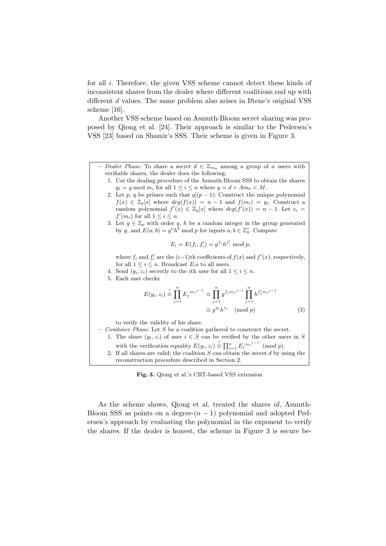for all i. Therefore, the given VSS scheme cannot detect these kinds of inconsistent shares from the dealer where different coalitions end up with different d values. The same problem also arises in Iftene's original VSS scheme [16].

Another VSS scheme based on Asmuth-Bloom secret sharing was proposed by Qiong et al. [24]. Their approach is similar to the Pedersen's VSS [23] based on Shamir's SSS. Their scheme is given in Figure 3.

- Dealer Phase: To share a secret  $d \in \mathbb{Z}_{m_0}$  among a group of n users with verifiable shares, the dealer does the following:
	- 1. Use the dealing procedure of the Asmuth-Bloom SSS to obtain the shares  $y_i = y \mod m_i$  for all  $1 \leq i \leq n$  where  $y = d + Am_0 < M$ .
	- 2. Let p, q be primes such that  $q|(p-1)$ . Construct the unique polynomial  $f(x) \in \mathbb{Z}_q[x]$  where  $deg(f(x)) = n - 1$  and  $f(m_i) = y_i$ . Construct a random polynomial  $f'(x) \in \mathbb{Z}_q[x]$  where  $deg(f'(x)) = n - 1$ . Let  $z_i =$  $f'(m_i)$  for all  $1 \leq i \leq n$ .
	- 3. Let  $g \in \mathbb{Z}_p$  with order q, h be a random integer in the group generated by g, and  $E(a, b) = g^a h^b \text{ mod } p$  for inputs  $a, b \in \mathbb{Z}_q^*$ . Compute

$$
E_i = E(f_i, f'_i) = g^{f_i} h^{f'_i} \bmod p,
$$

where  $f_i$  and  $f'_i$  are the  $(i-1)$ <sup>th</sup> coefficients of  $f(x)$  and  $f'(x)$ , respectively, for all  $1 \leq i \leq n$ . Broadcast  $E_i$ s to all users.

- 4. Send  $(y_i, z_i)$  secretly to the *i*th user for all  $1 \leq i \leq n$ .
- 5. Each user checks

$$
E(y_i, z_i) \stackrel{?}{=} \prod_{j=1}^n E_j^{m_i^{j-1}} \equiv \prod_{j=1}^n g^{f_j m_i^{j-1}} \prod_{j=1}^n h^{f'_j m_i^{j-1}} \equiv g^{y_i} h^{z_i} \pmod{p}
$$
\n(3)

to verify the validity of his share.

- Combiner Phase: Let  $S$  be a coalition gathered to construct the secret. 1. The share  $(y_i, z_i)$  of user  $i \in S$  can be verified by the other users in S with the verification equality  $E(y_i, z_i) \stackrel{?}{=} \prod_{j=1}^n E_j^{m_i j-1} \pmod{p}$ . 2. If all shares are valid; the coalition  $S$  can obtain the secret  $d$  by using the reconstruction procedure described in Section 2.

Fig. 3. Qiong et al.'s CRT-based VSS extension

As the scheme shows, Qiong et al. treated the shares of, Asmuth-Bloom SSS as points on a degree- $(n - 1)$  polynomial and adopted Pedersen's approach by evaluating the polynomial in the exponent to verify the shares. If the dealer is honest, the scheme in Figure 3 is secure be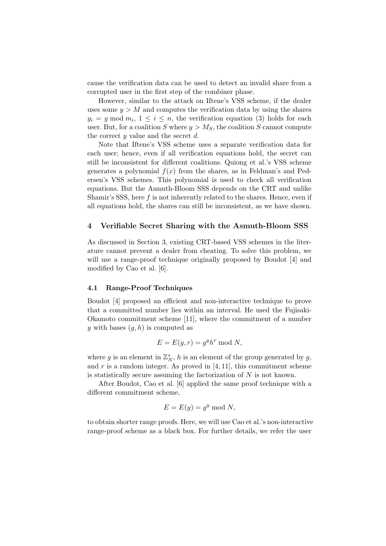cause the verification data can be used to detect an invalid share from a corrupted user in the first step of the combiner phase.

However, similar to the attack on Iftene's VSS scheme, if the dealer uses some  $y > M$  and computes the verification data by using the shares  $y_i = y \mod m_i, \ 1 \leq i \leq n$ , the verification equation (3) holds for each user. But, for a coalition S where  $y > M<sub>S</sub>$ , the coalition S cannot compute the correct  $y$  value and the secret  $d$ .

Note that Iftene's VSS scheme uses a separate verification data for each user; hence, even if all verification equations hold, the secret can still be inconsistent for different coalitions. Quiong et al.'s VSS scheme generates a polynomial  $f(x)$  from the shares, as in Feldman's and Pedersen's VSS schemes. This polynomial is used to check all verification equations. But the Asmuth-Bloom SSS depends on the CRT and unlike Shamir's SSS, here  $f$  is not inherently related to the shares. Hence, even if all equations hold, the shares can still be inconsistent, as we have shown.

### 4 Verifiable Secret Sharing with the Asmuth-Bloom SSS

As discussed in Section 3, existing CRT-based VSS schemes in the literature cannot prevent a dealer from cheating. To solve this problem, we will use a range-proof technique originally proposed by Boudot [4] and modified by Cao et al. [6].

# 4.1 Range-Proof Techniques

Boudot [4] proposed an efficient and non-interactive technique to prove that a committed number lies within an interval. He used the Fujisaki-Okamoto commitment scheme [11], where the commitment of a number y with bases  $(g, h)$  is computed as

$$
E = E(y, r) = g^y h^r \bmod N,
$$

where g is an element in  $\mathbb{Z}_N^*$ , h is an element of the group generated by g, and  $r$  is a random integer. As proved in [4, 11], this commitment scheme is statistically secure assuming the factorization of  $N$  is not known.

After Boudot, Cao et al. [6] applied the same proof technique with a different commitment scheme,

$$
E = E(y) = g^y \bmod N,
$$

to obtain shorter range proofs. Here, we will use Cao et al.'s non-interactive range-proof scheme as a black box. For further details, we refer the user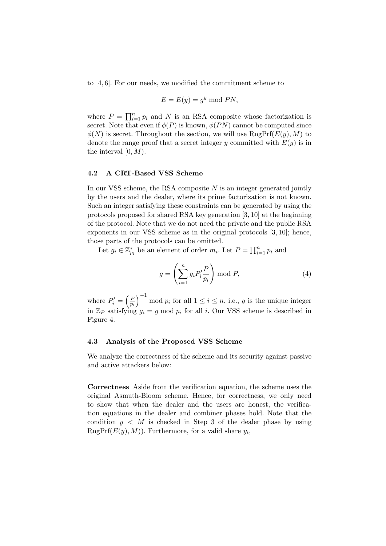to [4, 6]. For our needs, we modified the commitment scheme to

$$
E = E(y) = g^y \bmod PN,
$$

where  $P = \prod_{i=1}^{n} p_i$  and N is an RSA composite whose factorization is secret. Note that even if  $\phi(P)$  is known,  $\phi(PN)$  cannot be computed since  $\phi(N)$  is secret. Throughout the section, we will use  $\text{RngPrf}(E(y), M)$  to denote the range proof that a secret integer y committed with  $E(y)$  is in the interval  $[0, M)$ .

# 4.2 A CRT-Based VSS Scheme

In our VSS scheme, the RSA composite  $N$  is an integer generated jointly by the users and the dealer, where its prime factorization is not known. Such an integer satisfying these constraints can be generated by using the protocols proposed for shared RSA key generation [3, 10] at the beginning of the protocol. Note that we do not need the private and the public RSA exponents in our VSS scheme as in the original protocols [3, 10]; hence, those parts of the protocols can be omitted.

Let  $g_i \in \mathbb{Z}_{p_i}^*$  be an element of order  $m_i$ . Let  $P = \prod_{i=1}^n p_i$  and

$$
g = \left(\sum_{i=1}^{n} g_i P'_i \frac{P}{p_i}\right) \bmod P,\tag{4}
$$

where  $P_i' = \left(\frac{P_i}{p_i}\right)$ pi  $\int^{-1}$  mod  $p_i$  for all  $1 \leq i \leq n$ , i.e., g is the unique integer in  $\mathbb{Z}_P$  satisfying  $g_i = g \mod p_i$  for all i. Our VSS scheme is described in Figure 4.

#### 4.3 Analysis of the Proposed VSS Scheme

We analyze the correctness of the scheme and its security against passive and active attackers below:

Correctness Aside from the verification equation, the scheme uses the original Asmuth-Bloom scheme. Hence, for correctness, we only need to show that when the dealer and the users are honest, the verification equations in the dealer and combiner phases hold. Note that the condition  $y < M$  is checked in Step 3 of the dealer phase by using  $\text{RngPrf}(E(y), M)$ ). Furthermore, for a valid share  $y_i$ ,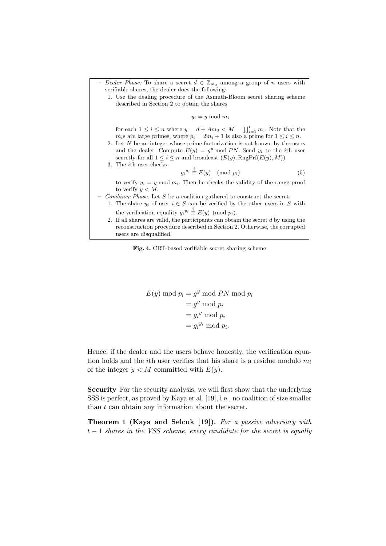|  | - Dealer Phase: To share a secret $d \in \mathbb{Z}_{m_0}$ among a group of n users with |  |  |  |  |  |  |  |
|--|------------------------------------------------------------------------------------------|--|--|--|--|--|--|--|
|  | verifiable shares, the dealer does the following:                                        |  |  |  |  |  |  |  |

1. Use the dealing procedure of the Asmuth-Bloom secret sharing scheme described in Section 2 to obtain the shares

 $y_i = y \mod m_i$ 

for each  $1 \leq i \leq n$  where  $y = d + Am_0 < M = \prod_{i=1}^{t} m_i$ . Note that the  $m_i$ s are large primes, where  $p_i = 2m_i + 1$  is also a prime for  $1 \leq i \leq n$ .

2. Let  $N$  be an integer whose prime factorization is not known by the users and the dealer. Compute  $E(y) = g^y \mod PN$ . Send  $y_i$  to the *i*th user secretly for all  $1 \leq i \leq n$  and broadcast  $(E(y), \text{RngPrf}(E(y), M)).$ 

3. The ith user checks

$$
g_i^{y_i} \stackrel{?}{\equiv} E(y) \pmod{p_i} \tag{5}
$$

to verify  $y_i = y \mod m_i$ . Then he checks the validity of the range proof to verify  $y < M$ .

- Combiner Phase: Let S be a coalition gathered to construct the secret.
	- 1. The share  $y_i$  of user  $i \in S$  can be verified by the other users in S with the verification equality  $g_i^{y_i} \stackrel{?}{\equiv} E(y) \pmod{p_i}$ .
	- 2. If all shares are valid, the participants can obtain the secret  $d$  by using the reconstruction procedure described in Section 2. Otherwise, the corrupted users are disqualified.

Fig. 4. CRT-based verifiable secret sharing scheme

$$
E(y) \bmod p_i = g^y \bmod PN \bmod p_i
$$
  
=  $g^y \bmod p_i$   
=  $g_i^y \bmod p_i$   
=  $g_i^{y_i} \bmod p_i$ .

Hence, if the dealer and the users behave honestly, the verification equation holds and the *i*th user verifies that his share is a residue modulo  $m_i$ of the integer  $y < M$  committed with  $E(y)$ .

Security For the security analysis, we will first show that the underlying SSS is perfect, as proved by Kaya et al. [19], i.e., no coalition of size smaller than  $t$  can obtain any information about the secret.

Theorem 1 (Kaya and Selcuk [19]). For a passive adversary with  $t-1$  shares in the VSS scheme, every candidate for the secret is equally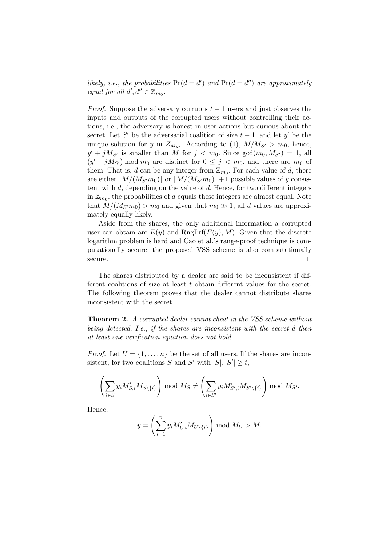likely, i.e., the probabilities  $Pr(d = d')$  and  $Pr(d = d'')$  are approximately equal for all  $d', d'' \in \mathbb{Z}_{m_0}$ .

*Proof.* Suppose the adversary corrupts  $t - 1$  users and just observes the inputs and outputs of the corrupted users without controlling their actions, i.e., the adversary is honest in user actions but curious about the secret. Let S' be the adversarial coalition of size  $t-1$ , and let y' be the unique solution for y in  $Z_{M_{S'}}$ . According to (1),  $M/M_{S'} > m_0$ , hence,  $y' + jM_{S'}$  is smaller than  $\tilde{M}$  for  $j < m_0$ . Since  $gcd(m_0, M_{S'}) = 1$ , all  $(y' + jM_{S'})$  mod  $m_0$  are distinct for  $0 \leq j < m_0$ , and there are  $m_0$  of them. That is, d can be any integer from  $\mathbb{Z}_{m_0}$ . For each value of d, there are either  $|M/(M_{S'}m_0)|$  or  $|M/(M_{S'}m_0)|+1$  possible values of y consistent with  $d$ , depending on the value of  $d$ . Hence, for two different integers in  $\mathbb{Z}_{m_0}$ , the probabilities of d equals these integers are almost equal. Note that  $M/(M_{S'}m_0) > m_0$  and given that  $m_0 \gg 1$ , all d values are approximately equally likely.

Aside from the shares, the only additional information a corrupted user can obtain are  $E(y)$  and RngPrf( $E(y)$ , M). Given that the discrete logarithm problem is hard and Cao et al.'s range-proof technique is computationally secure, the proposed VSS scheme is also computationally  $\Box$  secure.

The shares distributed by a dealer are said to be inconsistent if different coalitions of size at least t obtain different values for the secret. The following theorem proves that the dealer cannot distribute shares inconsistent with the secret.

**Theorem 2.** A corrupted dealer cannot cheat in the VSS scheme without being detected. I.e., if the shares are inconsistent with the secret d then at least one verification equation does not hold.

*Proof.* Let  $U = \{1, \ldots, n\}$  be the set of all users. If the shares are inconsistent, for two coalitions S and S' with  $|S|, |S'| \ge t$ ,

$$
\left(\sum_{i\in S} y_i M'_{S,i} M_{S\setminus\{i\}}\right) \bmod M_S \neq \left(\sum_{i\in S'} y_i M'_{S',i} M_{S'\setminus\{i\}}\right) \bmod M_{S'}.
$$

Hence,

$$
y = \left(\sum_{i=1}^n y_i M'_{U,i} M_{U \setminus \{i\}}\right) \mod M_U > M.
$$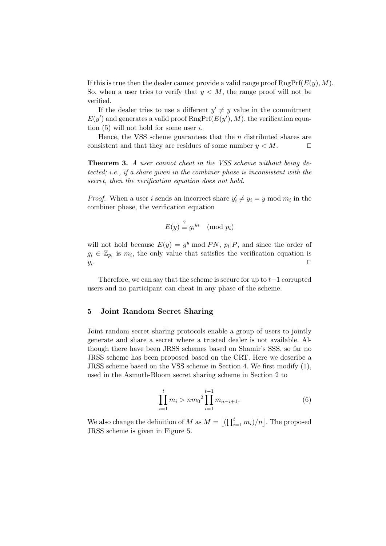If this is true then the dealer cannot provide a valid range proof  $RngPrf(E(y), M)$ . So, when a user tries to verify that  $y < M$ , the range proof will not be verified.

If the dealer tries to use a different  $y' \neq y$  value in the commitment  $E(y')$  and generates a valid proof  $\text{RngPrf}(E(y'), M)$ , the verification equation  $(5)$  will not hold for some user i.

Hence, the VSS scheme guarantees that the  $n$  distributed shares are consistent and that they are residues of some number  $y < M$ .

**Theorem 3.** A user cannot cheat in the VSS scheme without being detected; i.e., if a share given in the combiner phase is inconsistent with the secret, then the verification equation does not hold.

*Proof.* When a user i sends an incorrect share  $y'_i \neq y_i = y \mod m_i$  in the combiner phase, the verification equation

$$
E(y) \stackrel{?}{\equiv} g_i^{y_i} \pmod{p_i}
$$

will not hold because  $E(y) = g^y \mod PN$ ,  $p_i | P$ , and since the order of  $g_i \in \mathbb{Z}_{p_i}$  is  $m_i$ , the only value that satisfies the verification equation is  $y_i$ . . The contract of the contract of the contract of the contract  $\Box$ 

Therefore, we can say that the scheme is secure for up to  $t-1$  corrupted users and no participant can cheat in any phase of the scheme.

# 5 Joint Random Secret Sharing

Joint random secret sharing protocols enable a group of users to jointly generate and share a secret where a trusted dealer is not available. Although there have been JRSS schemes based on Shamir's SSS, so far no JRSS scheme has been proposed based on the CRT. Here we describe a JRSS scheme based on the VSS scheme in Section 4. We first modify (1), used in the Asmuth-Bloom secret sharing scheme in Section 2 to

$$
\prod_{i=1}^{t} m_i > nm_0^2 \prod_{i=1}^{t-1} m_{n-i+1}.
$$
 (6)

We also change the definition of M as  $M = \left\lfloor \left( \prod_{i=1}^{t} m_i \right) / n \right\rfloor$ . The proposed JRSS scheme is given in Figure 5.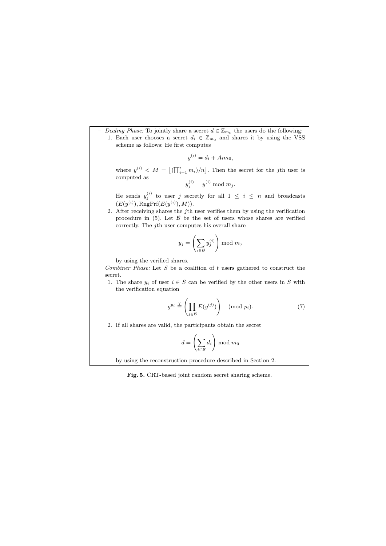– Dealing Phase: To jointly share a secret  $d \in \mathbb{Z}_{m_0}$  the users do the following: 1. Each user chooses a secret  $d_i \in \mathbb{Z}_{m_0}$  and shares it by using the VSS scheme as follows: He first computes

$$
y^{(i)} = d_i + A_i m_0,
$$

where  $y^{(i)}$   $\langle M = \left[ \left( \prod_{i=1}^{t} m_i \right) / n \right]$ . Then the secret for the jth user is computed as  $\mathbb{I}$ 

$$
y_j^{(i)} = y^{(i)} \bmod m_j.
$$

He sends  $y_j^{(i)}$  to user j secretly for all  $1 \leq i \leq n$  and broadcasts  $(E(y^{(i)}), \text{RngPrf}(E(y^{(i)}), M)).$ 

2. After receiving shares the *j*th user verifies them by using the verification procedure in  $(5)$ . Let  $\beta$  be the set of users whose shares are verified correctly. The jth user computes his overall share

$$
y_j = \left(\sum_{i \in \mathcal{B}} y_j^{(i)}\right) \bmod m_j
$$

by using the verified shares.

- $-$  Combiner Phase: Let S be a coalition of t users gathered to construct the secret.
	- 1. The share  $y_i$  of user  $i \in S$  can be verified by the other users in S with the verification equation

$$
g^{y_i} \stackrel{?}{\equiv} \left( \prod_{j \in \mathcal{B}} E(y^{(j)}) \right) \pmod{p_i}.
$$
 (7)

2. If all shares are valid, the participants obtain the secret

$$
d = \left(\sum_{i \in \mathcal{B}} d_i\right) \bmod m_0
$$

by using the reconstruction procedure described in Section 2.

Fig. 5. CRT-based joint random secret sharing scheme.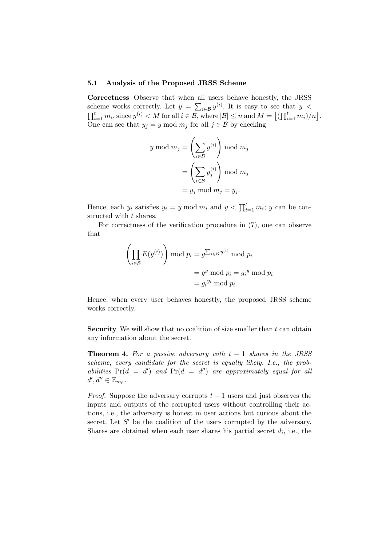#### 5.1 Analysis of the Proposed JRSS Scheme

Correctness Observe that when all users behave honestly, the JRSS scheme works correctly. Let  $y = \sum_{i \in \mathcal{B}} y^{(i)}$ . It is easy to see that  $y <$  $\prod_{i=1}^tm_i$ , since  $y^{(i)} < M$  for all  $i \in \mathcal{B}$ , where  $|\mathcal{B}| \leq n$  and  $M = \left\lfloor \left(\prod_{i=1}^tm_i\right)/n\right\rfloor$ . One can see that  $y_j = y \mod m_j$  for all  $j \in \mathcal{B}$  by checking

$$
y \mod m_j = \left(\sum_{i \in \mathcal{B}} y^{(i)}\right) \mod m_j
$$

$$
= \left(\sum_{i \in \mathcal{B}} y_j^{(i)}\right) \mod m_j
$$

$$
= y_j \mod m_j = y_j.
$$

Hence, each  $y_i$  satisfies  $y_i = y \mod m_i$  and  $y < \prod_{i=1}^t m_i$ ; y can be constructed with t shares.

For correctness of the verification procedure in (7), one can observe that

$$
\left(\prod_{i\in\mathcal{B}} E(y^{(i)})\right) \bmod p_i = g^{\sum_{i\in\mathcal{B}} y^{(i)}} \bmod p_i
$$

$$
= g^y \bmod p_i = g_i^y \bmod p_i
$$

$$
= g_i^{y_i} \bmod p_i.
$$

Hence, when every user behaves honestly, the proposed JRSS scheme works correctly.

Security We will show that no coalition of size smaller than  $t$  can obtain any information about the secret.

**Theorem 4.** For a passive adversary with  $t - 1$  shares in the JRSS scheme, every candidate for the secret is equally likely. I.e., the probabilities  $Pr(d = d')$  and  $Pr(d = d'')$  are approximately equal for all  $d', d'' \in \mathbb{Z}_{m_0}.$ 

*Proof.* Suppose the adversary corrupts  $t - 1$  users and just observes the inputs and outputs of the corrupted users without controlling their actions, i.e., the adversary is honest in user actions but curious about the secret. Let  $S'$  be the coalition of the users corrupted by the adversary. Shares are obtained when each user shares his partial secret  $d_i$ , i.e., the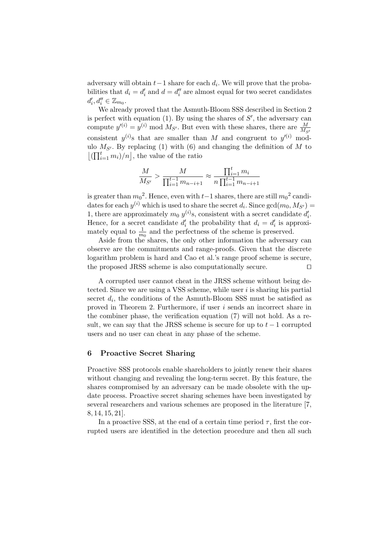adversary will obtain  $t-1$  share for each  $d_i$ . We will prove that the probabilities that  $d_i = d'_i$  and  $d = d''_i$  are almost equal for two secret candidates  $d'_i, d''_i \in \mathbb{Z}_{m_0}.$ 

We already proved that the Asmuth-Bloom SSS described in Section 2 is perfect with equation  $(1)$ . By using the shares of  $S'$ , the adversary can compute  $y^{(i)} = y^{(i)} \mod M_{S'}$ . But even with these shares, there are  $\frac{M}{M_{S'}}$ consistent  $y^{(i)}$  that are smaller than M and congruent to  $y'^{(i)}$  modulo  $M_{S'}$ . By replacing (1) with (6) and changing the definition of M to  $\lfloor (\prod_{i=1}^t m_i)/n \rfloor$ , the value of the ratio

$$
\frac{M}{M_{S'}} > \frac{M}{\prod_{i=1}^{t-1} m_{n-i+1}} \approx \frac{\prod_{i=1}^{t} m_i}{n \prod_{i=1}^{t-1} m_{n-i+1}}
$$

is greater than  $m_0^2$ . Hence, even with  $t-1$  shares, there are still  $m_0^2$  candidates for each  $y^{(i)}$  which is used to share the secret  $d_i$ . Since  $gcd(m_0, M_{S'})$ 1, there are approximately  $m_0$   $y^{(i)}$ s, consistent with a secret candidate  $d'_i$ . Hence, for a secret candidate  $d'_i$  the probability that  $d_i = d'_i$  is approximately equal to  $\frac{1}{m_0}$  and the perfectness of the scheme is preserved.

Aside from the shares, the only other information the adversary can observe are the commitments and range-proofs. Given that the discrete logarithm problem is hard and Cao et al.'s range proof scheme is secure, the proposed JRSS scheme is also computationally secure.  $\square$ 

A corrupted user cannot cheat in the JRSS scheme without being detected. Since we are using a VSS scheme, while user  $i$  is sharing his partial secret  $d_i$ , the conditions of the Asmuth-Bloom SSS must be satisfied as proved in Theorem 2. Furthermore, if user i sends an incorrect share in the combiner phase, the verification equation (7) will not hold. As a result, we can say that the JRSS scheme is secure for up to  $t-1$  corrupted users and no user can cheat in any phase of the scheme.

# 6 Proactive Secret Sharing

Proactive SSS protocols enable shareholders to jointly renew their shares without changing and revealing the long-term secret. By this feature, the shares compromised by an adversary can be made obsolete with the update process. Proactive secret sharing schemes have been investigated by several researchers and various schemes are proposed in the literature [7, 8, 14, 15, 21].

In a proactive SSS, at the end of a certain time period  $\tau$ , first the corrupted users are identified in the detection procedure and then all such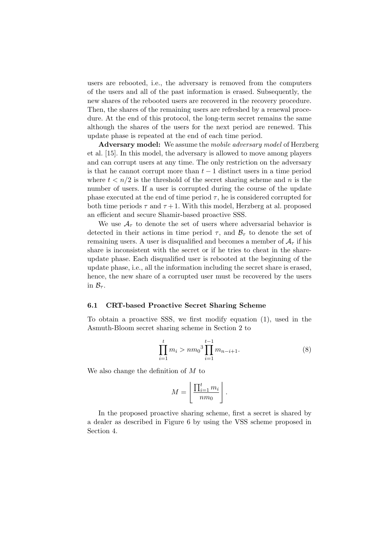users are rebooted, i.e., the adversary is removed from the computers of the users and all of the past information is erased. Subsequently, the new shares of the rebooted users are recovered in the recovery procedure. Then, the shares of the remaining users are refreshed by a renewal procedure. At the end of this protocol, the long-term secret remains the same although the shares of the users for the next period are renewed. This update phase is repeated at the end of each time period.

Adversary model: We assume the *mobile adversary model* of Herzberg et al. [15]. In this model, the adversary is allowed to move among players and can corrupt users at any time. The only restriction on the adversary is that he cannot corrupt more than  $t-1$  distinct users in a time period where  $t < n/2$  is the threshold of the secret sharing scheme and n is the number of users. If a user is corrupted during the course of the update phase executed at the end of time period  $\tau$ , he is considered corrupted for both time periods  $\tau$  and  $\tau + 1$ . With this model, Herzberg at al. proposed an efficient and secure Shamir-based proactive SSS.

We use  $A<sub>\tau</sub>$  to denote the set of users where adversarial behavior is detected in their actions in time period  $\tau$ , and  $\mathcal{B}_{\tau}$  to denote the set of remaining users. A user is disqualified and becomes a member of  $\mathcal{A}_{\tau}$  if his share is inconsistent with the secret or if he tries to cheat in the shareupdate phase. Each disqualified user is rebooted at the beginning of the update phase, i.e., all the information including the secret share is erased, hence, the new share of a corrupted user must be recovered by the users in  $\mathcal{B}_{\tau}$ .

#### 6.1 CRT-based Proactive Secret Sharing Scheme

To obtain a proactive SSS, we first modify equation (1), used in the Asmuth-Bloom secret sharing scheme in Section 2 to

$$
\prod_{i=1}^{t} m_i > nm_0^3 \prod_{i=1}^{t-1} m_{n-i+1}.
$$
 (8)

We also change the definition of M to

$$
M = \left\lfloor \frac{\prod_{i=1}^t m_i}{nm_0} \right\rfloor.
$$

In the proposed proactive sharing scheme, first a secret is shared by a dealer as described in Figure 6 by using the VSS scheme proposed in Section 4.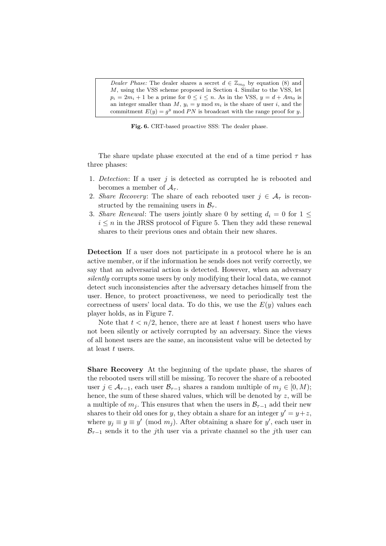Dealer Phase: The dealer shares a secret  $d \in \mathbb{Z}_{m_0}$  by equation (8) and M, using the VSS scheme proposed in Section 4. Similar to the VSS, let  $p_i = 2m_i + 1$  be a prime for  $0 \le i \le n$ . As in the VSS,  $y = d + Am_0$  is an integer smaller than  $M$ ,  $y_i = y \mod m_i$  is the share of user i, and the commitment  $E(y) = g^y \mod PN$  is broadcast with the range proof for y.

Fig. 6. CRT-based proactive SSS: The dealer phase.

The share update phase executed at the end of a time period  $\tau$  has three phases:

- 1. Detection: If a user j is detected as corrupted he is rebooted and becomes a member of  $A_{\tau}$ .
- 2. Share Recovery: The share of each rebooted user  $j \in A_\tau$  is reconstructed by the remaining users in  $\mathcal{B}_{\tau}$ .
- 3. Share Renewal: The users jointly share 0 by setting  $d_i = 0$  for  $1 \leq$  $i \leq n$  in the JRSS protocol of Figure 5. Then they add these renewal shares to their previous ones and obtain their new shares.

Detection If a user does not participate in a protocol where he is an active member, or if the information he sends does not verify correctly, we say that an adversarial action is detected. However, when an adversary silently corrupts some users by only modifying their local data, we cannot detect such inconsistencies after the adversary detaches himself from the user. Hence, to protect proactiveness, we need to periodically test the correctness of users' local data. To do this, we use the  $E(y)$  values each player holds, as in Figure 7.

Note that  $t < n/2$ , hence, there are at least t honest users who have not been silently or actively corrupted by an adversary. Since the views of all honest users are the same, an inconsistent value will be detected by at least t users.

Share Recovery At the beginning of the update phase, the shares of the rebooted users will still be missing. To recover the share of a rebooted user  $j \in A_{\tau-1}$ , each user  $\mathcal{B}_{\tau-1}$  shares a random multiple of  $m_j \in [0, M)$ ; hence, the sum of these shared values, which will be denoted by  $z$ , will be a multiple of  $m_j$ . This ensures that when the users in  $\mathcal{B}_{\tau-1}$  add their new shares to their old ones for y, they obtain a share for an integer  $y' = y + z$ , where  $y_j \equiv y \equiv y' \pmod{m_j}$ . After obtaining a share for y', each user in  $\mathcal{B}_{\tau-1}$  sends it to the j<sup>th</sup> user via a private channel so the j<sup>th</sup> user can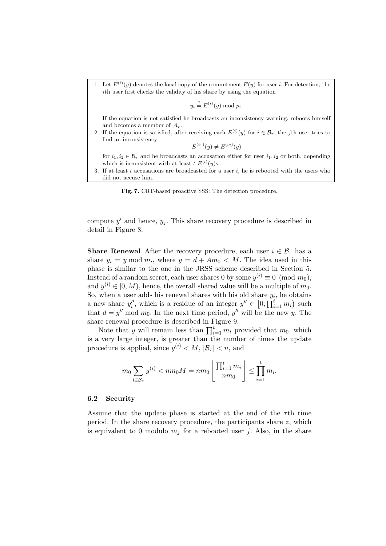1. Let  $E^{(i)}(y)$  denotes the local copy of the commitment  $E(y)$  for user *i*. For detection, the ith user first checks the validity of his share by using the equation

$$
y_i \stackrel{?}{=} E^{(i)}(y) \bmod p_i.
$$

If the equation is not satisfied he broadcasts an inconsistency warning, reboots himself and becomes a member of  $A_{\tau}$ .

2. If the equation is satisfied, after receiving each  $E^{(i)}(y)$  for  $i \in \mathcal{B}_{\tau}$ , the jth user tries to find an inconsistency

$$
E^{(i_1)}(y) \neq E^{(i_2)}(y)
$$

for  $i_1, i_2 \in \mathcal{B}_{\tau}$  and he broadcasts an accusation either for user  $i_1, i_2$  or both, depending which is inconsistent with at least  $t E^{(i)}(y)$ s.

3. If at least t accusations are broadcasted for a user  $i$ , he is rebooted with the users who did not accuse him.

Fig. 7. CRT-based proactive SSS: The detection procedure.

compute  $y'$  and hence,  $y_j$ . This share recovery procedure is described in detail in Figure 8.

**Share Renewal** After the recovery procedure, each user  $i \in \mathcal{B}_{\tau}$  has a share  $y_i = y \mod m_i$ , where  $y = d + Am_0 < M$ . The idea used in this phase is similar to the one in the JRSS scheme described in Section 5. Instead of a random secret, each user shares 0 by some  $y^{(i)} \equiv 0 \pmod{m_0}$ , and  $y^{(i)} \in [0, M)$ , hence, the overall shared value will be a multiple of  $m_0$ . So, when a user adds his renewal shares with his old share  $y_i$ , he obtains a new share  $y''_i$ , which is a residue of an integer  $y'' \in [0, \prod_{i=1}^t m_i)$  such that  $d = y'' \mod m_0$ . In the next time period, y'' will be the new y. The share renewal procedure is described in Figure 9.

Note that y will remain less than  $\prod_{i=1}^{t} m_i$  provided that  $m_0$ , which is a very large integer, is greater than the number of times the update procedure is applied, since  $y^{(i)} < M$ ,  $|\mathcal{B}_{\tau}| < n$ , and

$$
m_0 \sum_{i \in B_{\tau}} y^{(i)} < nm_0 M = nm_0 \left[ \frac{\prod_{i=1}^t m_i}{nm_0} \right] \le \prod_{i=1}^t m_i.
$$

#### 6.2 Security

Assume that the update phase is started at the end of the  $\tau$ th time period. In the share recovery procedure, the participants share  $z$ , which is equivalent to 0 modulo  $m_i$  for a rebooted user j. Also, in the share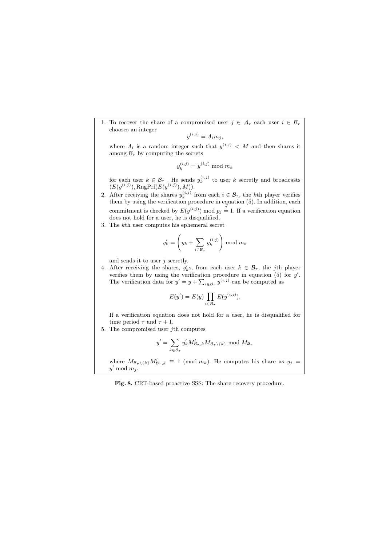1. To recover the share of a compromised user  $j \in A_{\tau}$  each user  $i \in B_{\tau}$ chooses an integer

$$
y^{(i,j)} = A_i m_j,
$$

where  $A_i$  is a random integer such that  $y^{(i,j)}$  < M and then shares it among  $\mathcal{B}_{\tau}$  by computing the secrets

$$
y_k^{(i,j)} = y^{(i,j)} \bmod m_k
$$

for each user  $k \in \mathcal{B}_{\tau}$ . He sends  $y_k^{(i,j)}$  to user k secretly and broadcasts  $(E(y^{(i,j)}), \text{RngPrf}(E(y^{(i,j)}), M)).$ 

- 2. After receiving the shares  $y_k^{(i,j)}$  from each  $i \in \mathcal{B}_{\tau}$ , the kth player verifies them by using the verification procedure in equation (5). In addition, each commitment is checked by  $E(y^{(i,j)}) \mod p_j \stackrel{?}{=} 1$ . If a verification equation does not hold for a user, he is disqualified.
- 3. The kth user computes his ephemeral secret

$$
y'_{k} = \left(y_{k} + \sum_{i \in \mathcal{B}_{\tau}} y_{k}^{(i,j)}\right) \mod m_{k}
$$

and sends it to user  $j$  secretly.

4. After receiving the shares,  $y'_k$ s, from each user  $k \in \mathcal{B}_{\tau}$ , the jth player verifies them by using the verification procedure in equation  $(5)$  for  $y'$ . The verification data for  $y' = y + \sum_{i \in \mathcal{B}_{\tau}} y^{(i,j)}$  can be computed as

$$
E(y') = E(y) \prod_{i \in \mathcal{B}_{\tau}} E(y^{(i,j)}).
$$

If a verification equation does not hold for a user, he is disqualified for time period  $\tau$  and  $\tau + 1$ .

5. The compromised user jth computes

$$
y' = \sum_{k \in \mathcal{B}_{\tau}} y'_k M'_{\mathcal{B}_{\tau},k} M_{\mathcal{B}_{\tau} \setminus \{k\}} \bmod M_{\mathcal{B}_{\tau}}
$$

where  $M_{\mathcal{B}_{\tau}\setminus\{k\}}M'_{\mathcal{B}_{\tau},k} \equiv 1 \pmod{m_k}$ . He computes his share as  $y_j =$  $y' \mod m_j$ .

Fig. 8. CRT-based proactive SSS: The share recovery procedure.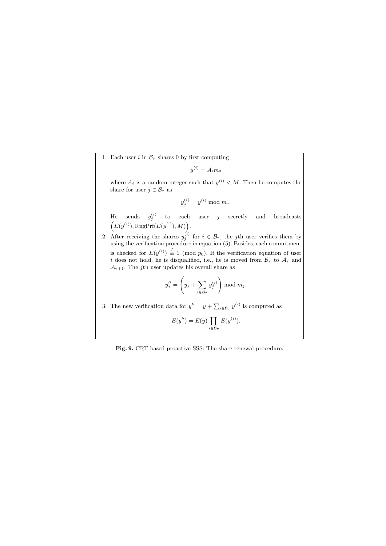1. Each user i in  $\mathcal{B}_{\tau}$  shares 0 by first computing

$$
y^{(i)} = A_i m_0
$$

where  $A_i$  is a random integer such that  $y^{(i)} < M$ . Then he computes the share for user  $j \in \mathcal{B}_{\tau}$  as

 $y_j^{(i)} = y^{(i)} \mod m_j.$ 

He sends  $y_j^{(i)}$  to each user j secretly and broadcasts  $(E(y^{(i)}), \text{RngPrf}(E(y^{(i)}), M)).$ 

2. After receiving the shares  $y_j^{(i)}$  for  $i \in \mathcal{B}_{\tau}$ , the jth user verifies them by using the verification procedure in equation (5). Besides, each commitment is checked for  $E(y^{(i)}) \equiv 1 \pmod{p_0}$ . If the verification equation of user i does not hold, he is disqualified, i.e., he is moved from  $\mathcal{B}_{\tau}$  to  $\mathcal{A}_{\tau}$  and  $\mathcal{A}_{\tau+1}$ . The *j*th user updates his overall share as

$$
y_j'' = \left(y_j + \sum_{i \in \mathcal{B}_{\tau}} y_j^{(i)}\right) \mod m_j.
$$

3. The new verification data for  $y'' = y + \sum_{i \in \mathcal{B}_{\tau}} y^{(i)}$  is computed as

$$
E(y'') = E(y) \prod_{i \in \mathcal{B}_{\tau}} E(y^{(i)}).
$$

### Fig. 9. CRT-based proactive SSS: The share renewal procedure.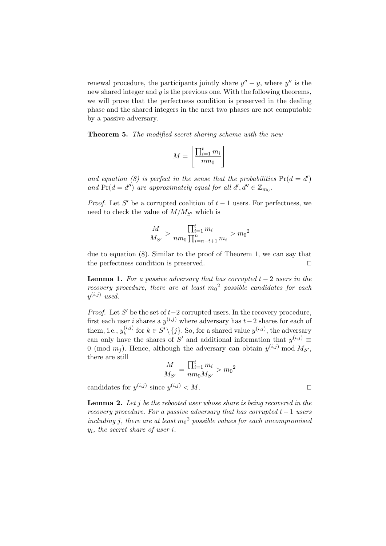renewal procedure, the participants jointly share  $y'' - y$ , where  $y''$  is the new shared integer and  $y$  is the previous one. With the following theorems, we will prove that the perfectness condition is preserved in the dealing phase and the shared integers in the next two phases are not computable by a passive adversary.

**Theorem 5.** The modified secret sharing scheme with the new

$$
M = \left\lfloor \frac{\prod_{i=1}^{t} m_i}{nm_0} \right\rfloor
$$

and equation (8) is perfect in the sense that the probabilities  $Pr(d = d')$ and  $Pr(d = d'')$  are approximately equal for all  $d', d'' \in \mathbb{Z}_{m_0}$ .

*Proof.* Let S' be a corrupted coalition of  $t - 1$  users. For perfectness, we need to check the value of  $M/M_{S'}$  which is

$$
\frac{M}{M_{S'}} > \frac{\prod_{i=1}^{t} m_i}{nm_0 \prod_{i=n-t+1}^{n} m_i} > m_0^2
$$

due to equation (8). Similar to the proof of Theorem 1, we can say that the perfectness condition is preserved.  $\Box$ 

**Lemma 1.** For a passive adversary that has corrupted  $t - 2$  users in the recovery procedure, there are at least  $m_0^2$  possible candidates for each  $y^{(i,j)}$  used.

*Proof.* Let  $S'$  be the set of  $t-2$  corrupted users. In the recovery procedure, first each user i shares a  $y^{(i,j)}$  where adversary has  $t-2$  shares for each of them, i.e.,  $y_k^{(i,j)}$  $\{i,j\}$  for  $k \in S' \setminus \{j\}$ . So, for a shared value  $y^{(i,j)}$ , the adversary can only have the shares of S' and additional information that  $y^{(i,j)} \equiv$ 0 (mod  $m_j$ ). Hence, although the adversary can obtain  $y^{(i,j)}$  mod  $M_{S'}$ , there are still

$$
\frac{M}{M_{S'}} = \frac{\prod_{i=1}^{t} m_i}{nm_0 M_{S'}} > m_0^2
$$

candidates for  $y^{(i,j)}$  since  $y^{(i,j)} < M$ .

**Lemma 2.** Let j be the rebooted user whose share is being recovered in the recovery procedure. For a passive adversary that has corrupted  $t-1$  users including j, there are at least  $m_0^2$  possible values for each uncompromised  $y_i$ , the secret share of user i.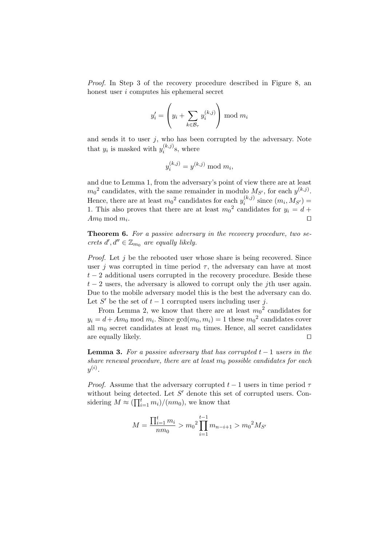Proof. In Step 3 of the recovery procedure described in Figure 8, an honest user i computes his ephemeral secret

$$
y_i' = \left(y_i + \sum_{k \in \mathcal{B}_{\tau}} y_i^{(k,j)}\right) \mod m_i
$$

and sends it to user  $j$ , who has been corrupted by the adversary. Note that  $y_i$  is masked with  $y_i^{(k,j)}$  $i^{(\kappa, \jmath)}$ s, where

$$
y_i^{(k,j)} = y^{(k,j)} \bmod m_i,
$$

and due to Lemma 1, from the adversary's point of view there are at least  $m_0^2$  candidates, with the same remainder in modulo  $M_{S'}$ , for each  $y^{(k,j)}$ . Hence, there are at least  $m_0^2$  candidates for each  $y_i^{(k,j)}$  $i^{(\kappa,\jmath)}$  since  $(m_i,M_{S'})=$ 1. This also proves that there are at least  $m_0^2$  candidates for  $y_i = d +$  $Am_0 \mod m_i$ . . The contract of the contract of the contract of  $\Box$ 

Theorem 6. For a passive adversary in the recovery procedure, two secrets  $d', d'' \in \mathbb{Z}_{m_0}$  are equally likely.

*Proof.* Let j be the rebooted user whose share is being recovered. Since user j was corrupted in time period  $\tau$ , the adversary can have at most  $t-2$  additional users corrupted in the recovery procedure. Beside these  $t-2$  users, the adversary is allowed to corrupt only the jth user again. Due to the mobile adversary model this is the best the adversary can do. Let S' be the set of  $t-1$  corrupted users including user j.

From Lemma 2, we know that there are at least  $m_0^2$  candidates for  $y_i = d + Am_0 \text{ mod } m_i$ . Since  $gcd(m_0, m_i) = 1$  these  $m_0^2$  candidates cover all  $m_0$  secret candidates at least  $m_0$  times. Hence, all secret candidates are equally likely.  $\Box$ 

**Lemma 3.** For a passive adversary that has corrupted  $t - 1$  users in the share renewal procedure, there are at least  $m_0$  possible candidates for each  $y^{(i)}$  .

*Proof.* Assume that the adversary corrupted  $t-1$  users in time period  $\tau$ without being detected. Let  $S'$  denote this set of corrupted users. Considering  $M \approx (\prod_{i=1}^{t} m_i)/(nm_0)$ , we know that

$$
M = \frac{\prod_{i=1}^{t} m_i}{nm_0} > m_0^2 \prod_{i=1}^{t-1} m_{n-i+1} > m_0^2 M_{S'}
$$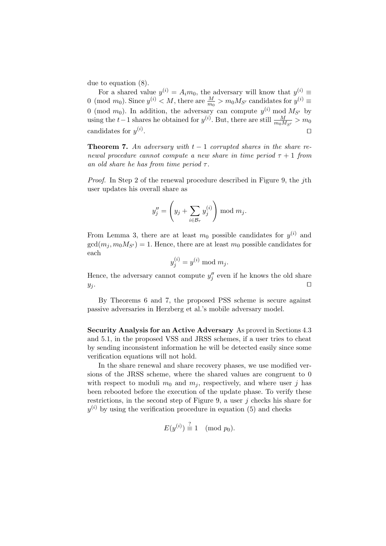due to equation (8).

For a shared value  $y^{(i)} = A_i m_0$ , the adversary will know that  $y^{(i)} \equiv$ 0 (mod  $m_0$ ). Since  $y^{(i)} < M$ , there are  $\frac{M}{m_0} > m_0 M_{S'}$  candidates for  $y^{(i)} \equiv$ 0 (mod  $m_0$ ). In addition, the adversary can compute  $y^{(i)}$  mod  $M_{S'}$  by using the  $t-1$  shares he obtained for  $y^{(i)}$ . But, there are still  $\frac{M}{m_0 M_{S'}} > m_0$ candidates for  $y^{(i)}$ . The contract of the contract of the contract  $\Box$ 

**Theorem 7.** An adversary with  $t - 1$  corrupted shares in the share renewal procedure cannot compute a new share in time period  $\tau + 1$  from an old share he has from time period  $\tau$ .

Proof. In Step 2 of the renewal procedure described in Figure 9, the jth user updates his overall share as

$$
y''_j = \left(y_j + \sum_{i \in \mathcal{B}_{\tau}} y_j^{(i)}\right) \mod m_j.
$$

From Lemma 3, there are at least  $m_0$  possible candidates for  $y^{(i)}$  and  $gcd(m_i, m_0M_{S'}) = 1$ . Hence, there are at least  $m_0$  possible candidates for each

$$
y_j^{(i)} = y^{(i)} \bmod m_j.
$$

Hence, the adversary cannot compute  $y''_j$  even if he knows the old share  $y_j$ .

By Theorems 6 and 7, the proposed PSS scheme is secure against passive adversaries in Herzberg et al.'s mobile adversary model.

Security Analysis for an Active Adversary As proved in Sections 4.3 and 5.1, in the proposed VSS and JRSS schemes, if a user tries to cheat by sending inconsistent information he will be detected easily since some verification equations will not hold.

In the share renewal and share recovery phases, we use modified versions of the JRSS scheme, where the shared values are congruent to 0 with respect to moduli  $m_0$  and  $m_j$ , respectively, and where user j has been rebooted before the execution of the update phase. To verify these restrictions, in the second step of Figure 9, a user  $j$  checks his share for  $y^{(i)}$  by using the verification procedure in equation (5) and checks

$$
E(y^{(i)}) \stackrel{?}{\equiv} 1 \pmod{p_0}.
$$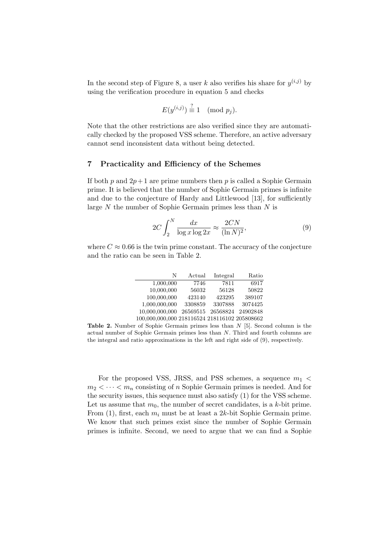In the second step of Figure 8, a user k also verifies his share for  $y^{(i,j)}$  by using the verification procedure in equation 5 and checks

$$
E(y^{(i,j)}) \stackrel{?}{\equiv} 1 \pmod{p_j}.
$$

Note that the other restrictions are also verified since they are automatically checked by the proposed VSS scheme. Therefore, an active adversary cannot send inconsistent data without being detected.

### 7 Practicality and Efficiency of the Schemes

If both p and  $2p+1$  are prime numbers then p is called a Sophie Germain prime. It is believed that the number of Sophie Germain primes is infinite and due to the conjecture of Hardy and Littlewood [13], for sufficiently large  $N$  the number of Sophie Germain primes less than  $N$  is

$$
2C \int_{2}^{N} \frac{dx}{\log x \log 2x} \approx \frac{2CN}{(\ln N)^{2}},\tag{9}
$$

where  $C \approx 0.66$  is the twin prime constant. The accuracy of the conjecture and the ratio can be seen in Table 2.

| N                                             | Actual   | Integral | Ratio    |
|-----------------------------------------------|----------|----------|----------|
| 1,000,000                                     | 7746     | 7811     | 6917     |
| 10,000,000                                    | 56032    | 56128    | 50822    |
| 100,000,000                                   | 423140   | 423295   | 389107   |
| 1,000,000,000                                 | 3308859  | 3307888  | 3074425  |
| 10,000,000,000                                | 26569515 | 26568824 | 24902848 |
| 100,000,000,000 218116524 218116102 205808662 |          |          |          |

**Table 2.** Number of Sophie Germain primes less than  $N$  [5]. Second column is the actual number of Sophie Germain primes less than N. Third and fourth columns are the integral and ratio approximations in the left and right side of (9), respectively.

For the proposed VSS, JRSS, and PSS schemes, a sequence  $m_1$  <  $m_2 < \cdots < m_n$  consisting of n Sophie Germain primes is needed. And for the security issues, this sequence must also satisfy (1) for the VSS scheme. Let us assume that  $m_0$ , the number of secret candidates, is a k-bit prime. From (1), first, each  $m_i$  must be at least a 2k-bit Sophie Germain prime. We know that such primes exist since the number of Sophie Germain primes is infinite. Second, we need to argue that we can find a Sophie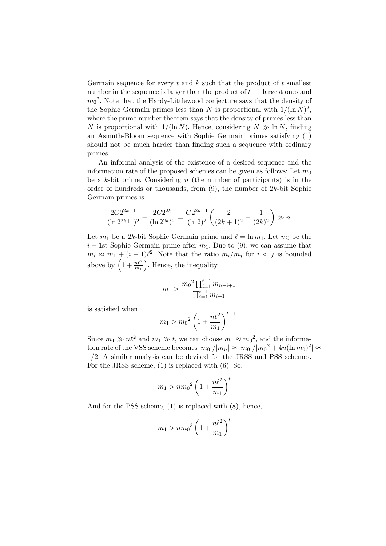Germain sequence for every t and k such that the product of t smallest number in the sequence is larger than the product of  $t-1$  largest ones and  $m_0^2$ . Note that the Hardy-Littlewood conjecture says that the density of the Sophie Germain primes less than N is proportional with  $1/(\ln N)^2$ , where the prime number theorem says that the density of primes less than N is proportional with  $1/(\ln N)$ . Hence, considering  $N \gg \ln N$ , finding an Asmuth-Bloom sequence with Sophie Germain primes satisfying (1) should not be much harder than finding such a sequence with ordinary primes.

An informal analysis of the existence of a desired sequence and the information rate of the proposed schemes can be given as follows: Let  $m_0$ be a k-bit prime. Considering  $n$  (the number of participants) is in the order of hundreds or thousands, from  $(9)$ , the number of  $2k$ -bit Sophie Germain primes is

$$
\frac{2C2^{2k+1}}{(\ln 2^{2k+1})^2} - \frac{2C2^{2k}}{(\ln 2^{2k})^2} = \frac{C2^{2k+1}}{(\ln 2)^2} \left(\frac{2}{(2k+1)^2} - \frac{1}{(2k)^2}\right) \gg n.
$$

Let  $m_1$  be a 2k-bit Sophie Germain prime and  $\ell = \ln m_1$ . Let  $m_i$  be the  $i-1$ st Sophie Germain prime after  $m_1$ . Due to (9), we can assume that  $m_i \approx m_1 + (i - 1)\ell^2$ . Note that the ratio  $m_i/m_j$  for  $i < j$  is bounded above by  $\left(1+\frac{n\ell^2}{m_1}\right)$ . Hence, the inequality

$$
m_1 > \frac{m_0^2 \prod_{i=1}^{t-1} m_{n-i+1}}{\prod_{i=1}^{t-1} m_{i+1}}
$$

is satisfied when

$$
m_1 > m_0^2 \left(1 + \frac{n\ell^2}{m_1}\right)^{t-1}
$$

Since  $m_1 \gg n\ell^2$  and  $m_1 \gg t$ , we can choose  $m_1 \approx m_0^2$ , and the information rate of the VSS scheme becomes  $|m_0|/|m_n| \approx |m_0|/|m_0^2 + 4n(\ln m_0)^2| \approx$ 1/2. A similar analysis can be devised for the JRSS and PSS schemes. For the JRSS scheme, (1) is replaced with (6). So,

.

$$
m_1 > n m_0^2 \left(1 + \frac{n\ell^2}{m_1}\right)^{t-1}.
$$

And for the PSS scheme, (1) is replaced with (8), hence,

$$
m_1 > n m_0^3 \left(1 + \frac{n\ell^2}{m_1}\right)^{t-1}.
$$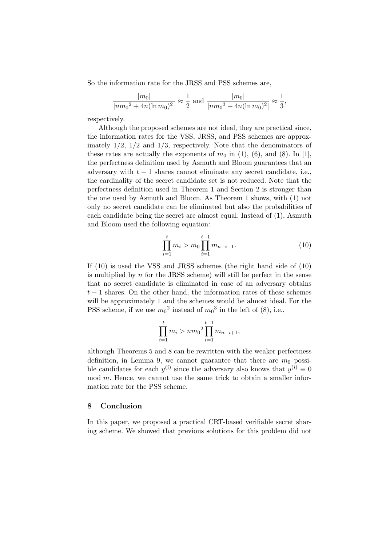So the information rate for the JRSS and PSS schemes are,

$$
\frac{|m_0|}{|nm_0^2 + 4n(\ln m_0)^2|} \approx \frac{1}{2}
$$
 and 
$$
\frac{|m_0|}{|nm_0^3 + 4n(\ln m_0)^2|} \approx \frac{1}{3},
$$

respectively.

Although the proposed schemes are not ideal, they are practical since, the information rates for the VSS, JRSS, and PSS schemes are approximately  $1/2$ ,  $1/2$  and  $1/3$ , respectively. Note that the denominators of these rates are actually the exponents of  $m_0$  in (1), (6), and (8). In [1], the perfectness definition used by Asmuth and Bloom guarantees that an adversary with  $t - 1$  shares cannot eliminate any secret candidate, i.e., the cardinality of the secret candidate set is not reduced. Note that the perfectness definition used in Theorem 1 and Section 2 is stronger than the one used by Asmuth and Bloom. As Theorem 1 shows, with (1) not only no secret candidate can be eliminated but also the probabilities of each candidate being the secret are almost equal. Instead of (1), Asmuth and Bloom used the following equation:

$$
\prod_{i=1}^{t} m_i > m_0 \prod_{i=1}^{t-1} m_{n-i+1}.
$$
 (10)

If (10) is used the VSS and JRSS schemes (the right hand side of (10) is multiplied by  $n$  for the JRSS scheme) will still be perfect in the sense that no secret candidate is eliminated in case of an adversary obtains  $t-1$  shares. On the other hand, the information rates of these schemes will be approximately 1 and the schemes would be almost ideal. For the PSS scheme, if we use  $m_0^2$  instead of  $m_0^3$  in the left of (8), i.e.,

$$
\prod_{i=1}^{t} m_i > n m_0^2 \prod_{i=1}^{t-1} m_{n-i+1},
$$

although Theorems 5 and 8 can be rewritten with the weaker perfectness definition, in Lemma 9, we cannot guarantee that there are  $m_0$  possible candidates for each  $y^{(i)}$  since the adversary also knows that  $y^{(i)} \equiv 0$ mod m. Hence, we cannot use the same trick to obtain a smaller information rate for the PSS scheme.

### 8 Conclusion

In this paper, we proposed a practical CRT-based verifiable secret sharing scheme. We showed that previous solutions for this problem did not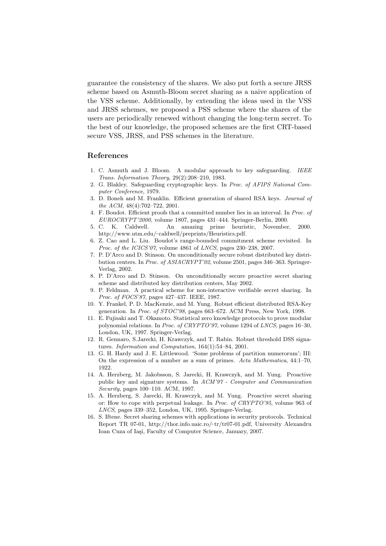guarantee the consistency of the shares. We also put forth a secure JRSS scheme based on Asmuth-Bloom secret sharing as a naive application of the VSS scheme. Additionally, by extending the ideas used in the VSS and JRSS schemes, we proposed a PSS scheme where the shares of the users are periodically renewed without changing the long-term secret. To the best of our knowledge, the proposed schemes are the first CRT-based secure VSS, JRSS, and PSS schemes in the literature.

### References

- 1. C. Asmuth and J. Bloom. A modular approach to key safeguarding. IEEE Trans. Information Theory, 29(2):208–210, 1983.
- 2. G. Blakley. Safeguarding cryptographic keys. In Proc. of AFIPS National Computer Conference, 1979.
- 3. D. Boneh and M. Franklin. Efficient generation of shared RSA keys. Journal of the ACM, 48(4):702–722, 2001.
- 4. F. Boudot. Efficient proofs that a committed number lies in an interval. In Proc. of EUROCRYPT'2000, volume 1807, pages 431–444. Springer-Berlin, 2000.
- 5. C. K. Caldwell. An amazing prime heuristic, November, 2000. http://www.utm.edu/˜ caldwell/preprints/Heuristics.pdf.
- 6. Z. Cao and L. Liu. Boudot's range-bounded commitment scheme revisited. In Proc. of the ICICS'07, volume 4861 of LNCS, pages 230-238, 2007.
- 7. P. D'Arco and D. Stinson. On unconditionally secure robust distributed key distribution centers. In Proc. of ASIACRYPT'02, volume 2501, pages 346–363. Springer-Verlag, 2002.
- 8. P. D'Arco and D. Stinson. On unconditionally secure proactive secret sharing scheme and distributed key distribution centers, May 2002.
- 9. P. Feldman. A practical scheme for non-interactive verifiable secret sharing. In Proc. of FOCS'87, pages 427–437. IEEE, 1987.
- 10. Y. Frankel, P. D. MacKenzie, and M. Yung. Robust efficient distributed RSA-Key generation. In Proc. of STOC'98, pages 663–672. ACM Press, New York, 1998.
- 11. E. Fujisaki and T. Okamoto. Statistical zero knowledge protocols to prove modular polynomial relations. In Proc. of CRYPTO'97, volume 1294 of LNCS, pages 16–30, London, UK, 1997. Springer-Verlag.
- 12. R. Gennaro, S.Jarecki, H. Krawczyk, and T. Rabin. Robust threshold DSS signatures. Information and Computation, 164(1):54–84, 2001.
- 13. G. H. Hardy and J. E. Littlewood. 'Some problems of partition numerorum'; III: On the expression of a number as a sum of primes. Acta Mathematica, 44:1–70, 1922.
- 14. A. Herzberg, M. Jakobsson, S. Jarecki, H. Krawczyk, and M. Yung. Proactive public key and signature systems. In ACM'97 - Computer and Communication Security, pages 100–110. ACM, 1997.
- 15. A. Herzberg, S. Jarecki, H. Krawczyk, and M. Yung. Proactive secret sharing or: How to cope with perpetual leakage. In Proc. of CRYPTO'95, volume 963 of LNCS, pages 339–352, London, UK, 1995. Springer-Verlag.
- 16. S. Iftene. Secret sharing schemes with applications in security protocols. Technical Report TR 07-01, http://thor.info.uaic.ro/~tr/tr07-01.pdf, University Alexandru Ioan Cuza of Iasi, Faculty of Computer Science, January, 2007.